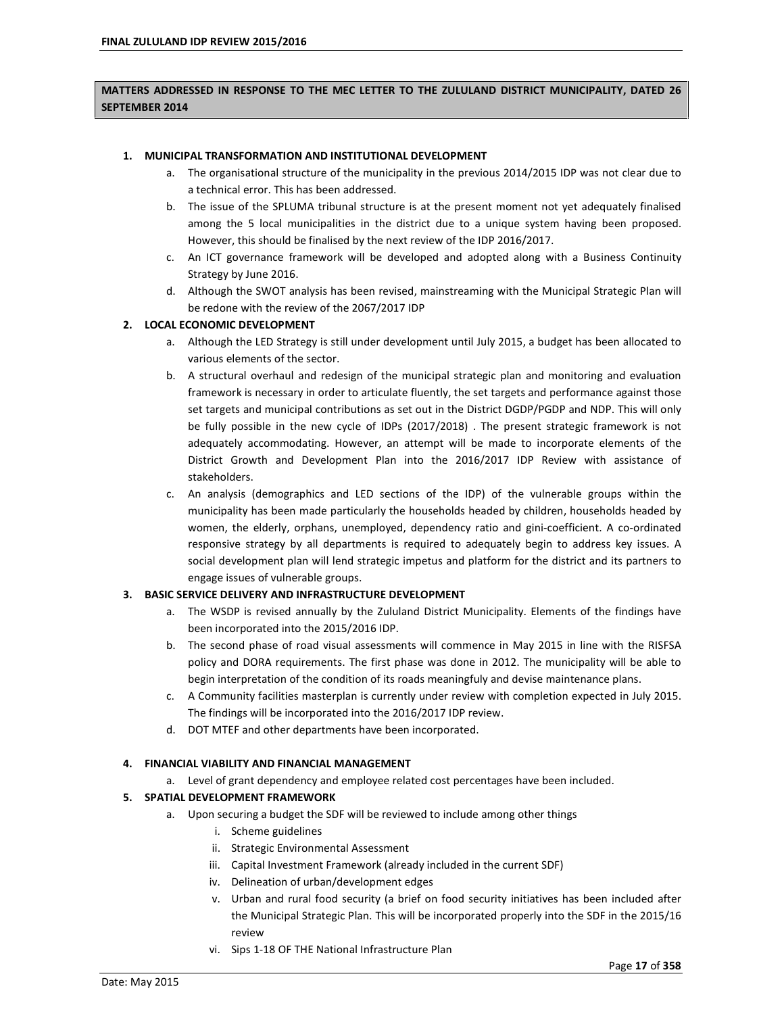# **MATTERS ADDRESSED IN RESPONSE TO THE MEC LETTER TO THE ZULULAND DISTRICT MUNICIPALITY, DATED 26 SEPTEMBER 2014**

#### **1. MUNICIPAL TRANSFORMATION AND INSTITUTIONAL DEVELOPMENT**

- a. The organisational structure of the municipality in the previous 2014/2015 IDP was not clear due to a technical error. This has been addressed.
- b. The issue of the SPLUMA tribunal structure is at the present moment not yet adequately finalised among the 5 local municipalities in the district due to a unique system having been proposed. However, this should be finalised by the next review of the IDP 2016/2017.
- c. An ICT governance framework will be developed and adopted along with a Business Continuity Strategy by June 2016.
- d. Although the SWOT analysis has been revised, mainstreaming with the Municipal Strategic Plan will be redone with the review of the 2067/2017 IDP

### **2. LOCAL ECONOMIC DEVELOPMENT**

- a. Although the LED Strategy is still under development until July 2015, a budget has been allocated to various elements of the sector.
- b. A structural overhaul and redesign of the municipal strategic plan and monitoring and evaluation framework is necessary in order to articulate fluently, the set targets and performance against those set targets and municipal contributions as set out in the District DGDP/PGDP and NDP. This will only be fully possible in the new cycle of IDPs (2017/2018) . The present strategic framework is not adequately accommodating. However, an attempt will be made to incorporate elements of the District Growth and Development Plan into the 2016/2017 IDP Review with assistance of stakeholders.
- c. An analysis (demographics and LED sections of the IDP) of the vulnerable groups within the municipality has been made particularly the households headed by children, households headed by women, the elderly, orphans, unemployed, dependency ratio and gini-coefficient. A co-ordinated responsive strategy by all departments is required to adequately begin to address key issues. A social development plan will lend strategic impetus and platform for the district and its partners to engage issues of vulnerable groups.

### **3. BASIC SERVICE DELIVERY AND INFRASTRUCTURE DEVELOPMENT**

- a. The WSDP is revised annually by the Zululand District Municipality. Elements of the findings have been incorporated into the 2015/2016 IDP.
- b. The second phase of road visual assessments will commence in May 2015 in line with the RISFSA policy and DORA requirements. The first phase was done in 2012. The municipality will be able to begin interpretation of the condition of its roads meaningfuly and devise maintenance plans.
- c. A Community facilities masterplan is currently under review with completion expected in July 2015. The findings will be incorporated into the 2016/2017 IDP review.
- d. DOT MTEF and other departments have been incorporated.

### **4. FINANCIAL VIABILITY AND FINANCIAL MANAGEMENT**

a. Level of grant dependency and employee related cost percentages have been included.

### **5. SPATIAL DEVELOPMENT FRAMEWORK**

- a. Upon securing a budget the SDF will be reviewed to include among other things
	- i. Scheme guidelines
	- ii. Strategic Environmental Assessment
	- iii. Capital Investment Framework (already included in the current SDF)
	- iv. Delineation of urban/development edges
	- v. Urban and rural food security (a brief on food security initiatives has been included after the Municipal Strategic Plan. This will be incorporated properly into the SDF in the 2015/16 review
	- vi. Sips 1-18 OF THE National Infrastructure Plan